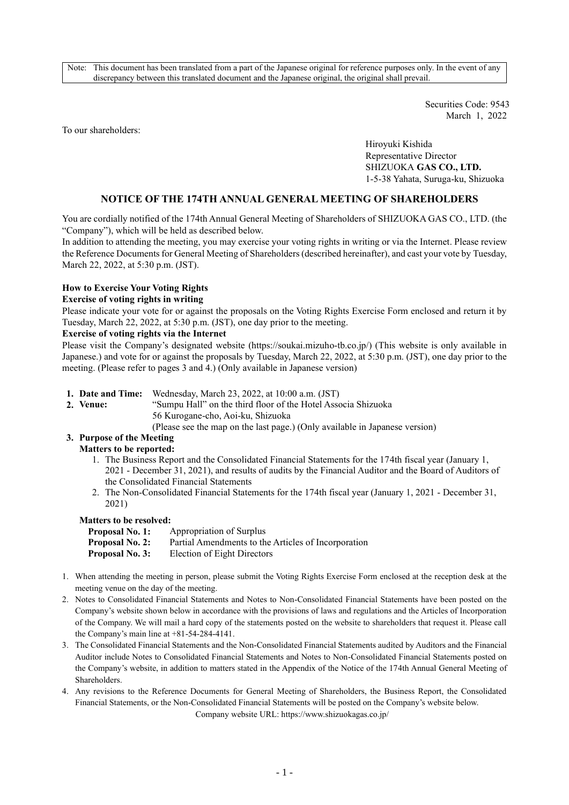Note: This document has been translated from a part of the Japanese original for reference purposes only. In the event of any discrepancy between this translated document and the Japanese original, the original shall prevail.

> Securities Code: 9543 March 1, 2022

To our shareholders:

Hiroyuki Kishida Representative Director SHIZUOKA **GAS CO., LTD.** 1-5-38 Yahata, Suruga-ku, Shizuoka

### **NOTICE OF THE 174TH ANNUAL GENERAL MEETING OF SHAREHOLDERS**

You are cordially notified of the 174th Annual General Meeting of Shareholders of SHIZUOKA GAS CO., LTD. (the "Company"), which will be held as described below.

In addition to attending the meeting, you may exercise your voting rights in writing or via the Internet. Please review the Reference Documents for General Meeting of Shareholders (described hereinafter), and cast your vote by Tuesday, March 22, 2022, at 5:30 p.m. (JST).

### **How to Exercise Your Voting Rights**

#### **Exercise of voting rights in writing**

Please indicate your vote for or against the proposals on the Voting Rights Exercise Form enclosed and return it by Tuesday, March 22, 2022, at 5:30 p.m. (JST), one day prior to the meeting.

#### **Exercise of voting rights via the Internet**

Please visit the Company's designated website (https://soukai.mizuho-tb.co.jp/) (This website is only available in Japanese.) and vote for or against the proposals by Tuesday, March 22, 2022, at 5:30 p.m. (JST), one day prior to the meeting. (Please refer to pages 3 and 4.) (Only available in Japanese version)

- **1. Date and Time:** Wednesday, March 23, 2022, at 10:00 a.m. (JST)
- 
- **2. Venue:** "Sumpu Hall" on the third floor of the Hotel Associa Shizuoka 56 Kurogane-cho, Aoi-ku, Shizuoka
	- (Please see the map on the last page.) (Only available in Japanese version)

# **3. Purpose of the Meeting**

#### **Matters to be reported:**

- 1. The Business Report and the Consolidated Financial Statements for the 174th fiscal year (January 1, 2021 - December 31, 2021), and results of audits by the Financial Auditor and the Board of Auditors of the Consolidated Financial Statements
- 2. The Non-Consolidated Financial Statements for the 174th fiscal year (January 1, 2021 December 31, 2021)

#### **Matters to be resolved:**

| <b>Proposal No. 1:</b> | Appropriation of Surplus                            |
|------------------------|-----------------------------------------------------|
| <b>Proposal No. 2:</b> | Partial Amendments to the Articles of Incorporation |
| <b>Proposal No. 3:</b> | Election of Eight Directors                         |

- 1. When attending the meeting in person, please submit the Voting Rights Exercise Form enclosed at the reception desk at the meeting venue on the day of the meeting.
- 2. Notes to Consolidated Financial Statements and Notes to Non-Consolidated Financial Statements have been posted on the Company's website shown below in accordance with the provisions of laws and regulations and the Articles of Incorporation of the Company. We will mail a hard copy of the statements posted on the website to shareholders that request it. Please call the Company's main line at  $+81-54-284-4141$ .
- 3. The Consolidated Financial Statements and the Non-Consolidated Financial Statements audited by Auditors and the Financial Auditor include Notes to Consolidated Financial Statements and Notes to Non-Consolidated Financial Statements posted on the Company's website, in addition to matters stated in the Appendix of the Notice of the 174th Annual General Meeting of **Shareholders**
- 4. Any revisions to the Reference Documents for General Meeting of Shareholders, the Business Report, the Consolidated Financial Statements, or the Non-Consolidated Financial Statements will be posted on the Company's website below.

Company website URL: https://www.shizuokagas.co.jp/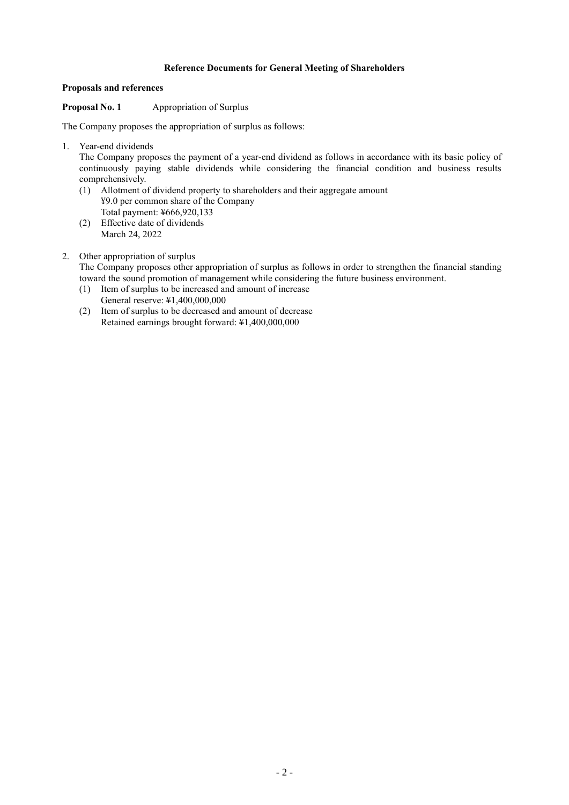## **Reference Documents for General Meeting of Shareholders**

### **Proposals and references**

## **Proposal No. 1** Appropriation of Surplus

The Company proposes the appropriation of surplus as follows:

1. Year-end dividends

The Company proposes the payment of a year-end dividend as follows in accordance with its basic policy of continuously paying stable dividends while considering the financial condition and business results comprehensively.

- (1) Allotment of dividend property to shareholders and their aggregate amount ¥9.0 per common share of the Company Total payment: ¥666,920,133
- (2) Effective date of dividends March 24, 2022
- 2. Other appropriation of surplus

The Company proposes other appropriation of surplus as follows in order to strengthen the financial standing toward the sound promotion of management while considering the future business environment.

- (1) Item of surplus to be increased and amount of increase General reserve: ¥1,400,000,000
- (2) Item of surplus to be decreased and amount of decrease Retained earnings brought forward: ¥1,400,000,000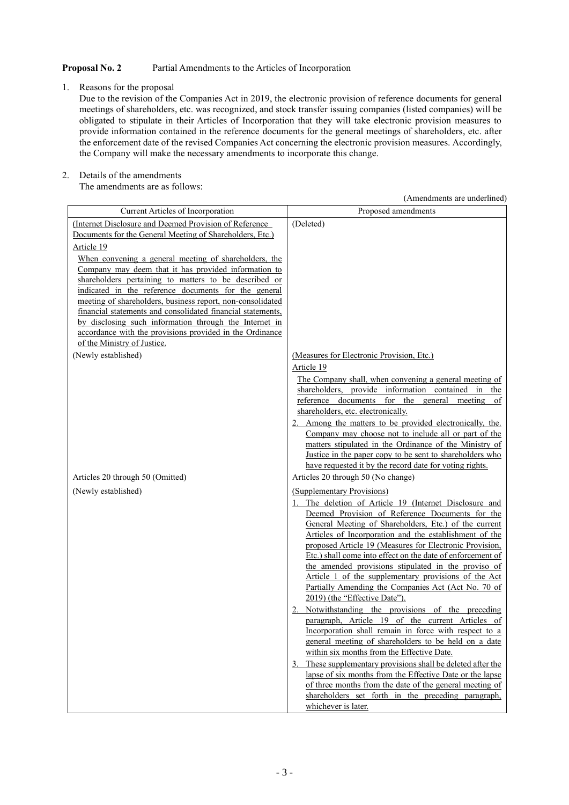## **Proposal No. 2** Partial Amendments to the Articles of Incorporation

1. Reasons for the proposal

Due to the revision of the Companies Act in 2019, the electronic provision of reference documents for general meetings of shareholders, etc. was recognized, and stock transfer issuing companies (listed companies) will be obligated to stipulate in their Articles of Incorporation that they will take electronic provision measures to provide information contained in the reference documents for the general meetings of shareholders, etc. after the enforcement date of the revised Companies Act concerning the electronic provision measures. Accordingly, the Company will make the necessary amendments to incorporate this change.

2. Details of the amendments

The amendments are as follows:

(Amendments are underlined)

| Current Articles of Incorporation                                                                                  | Proposed amendments                                                                                            |
|--------------------------------------------------------------------------------------------------------------------|----------------------------------------------------------------------------------------------------------------|
| (Internet Disclosure and Deemed Provision of Reference                                                             | (Deleted)                                                                                                      |
| Documents for the General Meeting of Shareholders, Etc.)                                                           |                                                                                                                |
| Article 19                                                                                                         |                                                                                                                |
| When convening a general meeting of shareholders, the                                                              |                                                                                                                |
| Company may deem that it has provided information to                                                               |                                                                                                                |
| shareholders pertaining to matters to be described or                                                              |                                                                                                                |
| indicated in the reference documents for the general<br>meeting of shareholders, business report, non-consolidated |                                                                                                                |
| financial statements and consolidated financial statements,                                                        |                                                                                                                |
| by disclosing such information through the Internet in                                                             |                                                                                                                |
| accordance with the provisions provided in the Ordinance                                                           |                                                                                                                |
| of the Ministry of Justice.                                                                                        |                                                                                                                |
| (Newly established)                                                                                                | (Measures for Electronic Provision, Etc.)                                                                      |
|                                                                                                                    | Article 19                                                                                                     |
|                                                                                                                    | The Company shall, when convening a general meeting of                                                         |
|                                                                                                                    | shareholders, provide information contained in<br>the                                                          |
|                                                                                                                    | reference documents for the general<br>meeting<br>0t                                                           |
|                                                                                                                    | shareholders, etc. electronically.                                                                             |
|                                                                                                                    | 2. Among the matters to be provided electronically, the.                                                       |
|                                                                                                                    | Company may choose not to include all or part of the<br>matters stipulated in the Ordinance of the Ministry of |
|                                                                                                                    | Justice in the paper copy to be sent to shareholders who                                                       |
|                                                                                                                    | have requested it by the record date for voting rights.                                                        |
| Articles 20 through 50 (Omitted)                                                                                   | Articles 20 through 50 (No change)                                                                             |
| (Newly established)                                                                                                | (Supplementary Provisions)                                                                                     |
|                                                                                                                    | The deletion of Article 19 (Internet Disclosure and                                                            |
|                                                                                                                    | Deemed Provision of Reference Documents for the                                                                |
|                                                                                                                    | General Meeting of Shareholders, Etc.) of the current                                                          |
|                                                                                                                    | Articles of Incorporation and the establishment of the                                                         |
|                                                                                                                    | proposed Article 19 (Measures for Electronic Provision,                                                        |
|                                                                                                                    | Etc.) shall come into effect on the date of enforcement of                                                     |
|                                                                                                                    | the amended provisions stipulated in the proviso of<br>Article 1 of the supplementary provisions of the Act    |
|                                                                                                                    | Partially Amending the Companies Act (Act No. 70 of                                                            |
|                                                                                                                    | 2019) (the "Effective Date").                                                                                  |
|                                                                                                                    | 2. Notwithstanding the provisions of the preceding                                                             |
|                                                                                                                    | paragraph, Article 19 of the current Articles of                                                               |
|                                                                                                                    | Incorporation shall remain in force with respect to a                                                          |
|                                                                                                                    | general meeting of shareholders to be held on a date                                                           |
|                                                                                                                    | within six months from the Effective Date.                                                                     |
|                                                                                                                    | These supplementary provisions shall be deleted after the<br>3.                                                |
|                                                                                                                    | lapse of six months from the Effective Date or the lapse                                                       |
|                                                                                                                    | of three months from the date of the general meeting of<br>shareholders set forth in the preceding paragraph,  |
|                                                                                                                    | whichever is later.                                                                                            |
|                                                                                                                    |                                                                                                                |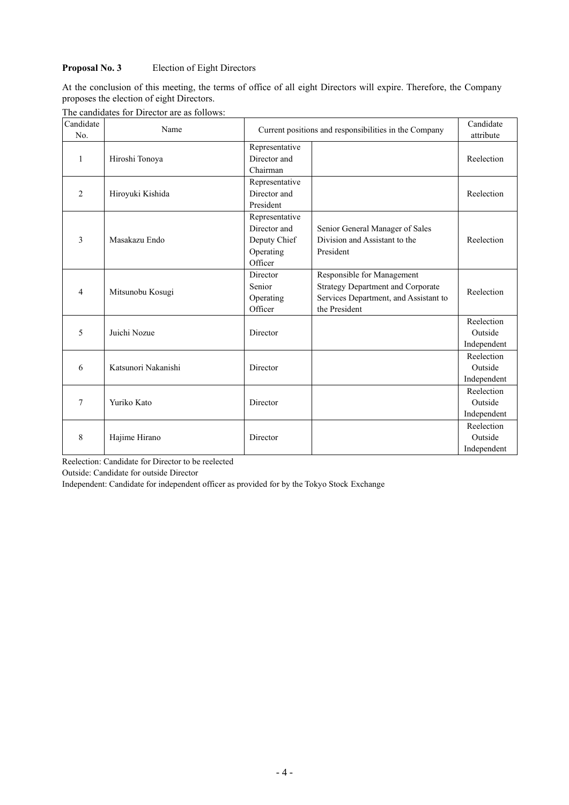## **Proposal No. 3** Election of Eight Directors

At the conclusion of this meeting, the terms of office of all eight Directors will expire. Therefore, the Company proposes the election of eight Directors.

|  | The candidates for Director are as follows: |  |
|--|---------------------------------------------|--|
|  |                                             |  |

| Candidate<br>No. | Name                |                                | Current positions and responsibilities in the Company |             |  |  |  |
|------------------|---------------------|--------------------------------|-------------------------------------------------------|-------------|--|--|--|
| 1                | Hiroshi Tonoya      | Representative<br>Director and |                                                       | Reelection  |  |  |  |
|                  |                     | Chairman                       |                                                       |             |  |  |  |
|                  |                     | Representative                 |                                                       |             |  |  |  |
| $\overline{2}$   | Hiroyuki Kishida    | Director and                   |                                                       | Reelection  |  |  |  |
|                  |                     | President                      |                                                       |             |  |  |  |
|                  |                     | Representative                 |                                                       |             |  |  |  |
|                  |                     | Director and                   | Senior General Manager of Sales                       |             |  |  |  |
| 3                | Masakazu Endo       | Deputy Chief                   | Division and Assistant to the                         | Reelection  |  |  |  |
|                  |                     | Operating                      | President                                             |             |  |  |  |
|                  |                     | Officer                        |                                                       |             |  |  |  |
|                  | Mitsunobu Kosugi    | Director                       | Responsible for Management                            | Reelection  |  |  |  |
| 4                |                     | Senior                         | <b>Strategy Department and Corporate</b>              |             |  |  |  |
|                  |                     | Operating                      | Services Department, and Assistant to                 |             |  |  |  |
|                  |                     | Officer                        | the President                                         |             |  |  |  |
|                  |                     |                                |                                                       | Reelection  |  |  |  |
| 5                | Juichi Nozue        | Director                       |                                                       | Outside     |  |  |  |
|                  |                     |                                |                                                       | Independent |  |  |  |
|                  |                     |                                |                                                       | Reelection  |  |  |  |
| 6                | Katsunori Nakanishi | Director                       |                                                       | Outside     |  |  |  |
|                  |                     |                                |                                                       | Independent |  |  |  |
|                  |                     |                                |                                                       | Reelection  |  |  |  |
| 7                | Yuriko Kato         | Director                       |                                                       | Outside     |  |  |  |
|                  |                     |                                |                                                       | Independent |  |  |  |
|                  |                     |                                |                                                       | Reelection  |  |  |  |
| 8                | Hajime Hirano       | Director                       |                                                       | Outside     |  |  |  |
|                  |                     |                                |                                                       | Independent |  |  |  |

Reelection: Candidate for Director to be reelected

Outside: Candidate for outside Director

Independent: Candidate for independent officer as provided for by the Tokyo Stock Exchange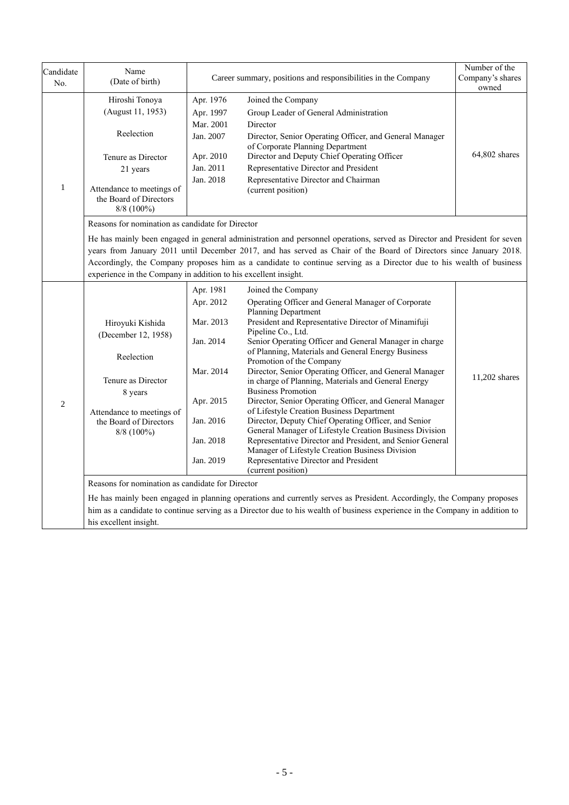| Candidate<br>No. | Name<br>(Date of birth)                                                                                                                                                                                                                                                                                                                                                                                                                                                                        |                                                                                                                   | Career summary, positions and responsibilities in the Company                                                                                                                                                                                                                                                                                                                                                                                                                                                                                                                                                                                                                                                                                                                                                                                                                     | Number of the<br>Company's shares<br>owned |  |
|------------------|------------------------------------------------------------------------------------------------------------------------------------------------------------------------------------------------------------------------------------------------------------------------------------------------------------------------------------------------------------------------------------------------------------------------------------------------------------------------------------------------|-------------------------------------------------------------------------------------------------------------------|-----------------------------------------------------------------------------------------------------------------------------------------------------------------------------------------------------------------------------------------------------------------------------------------------------------------------------------------------------------------------------------------------------------------------------------------------------------------------------------------------------------------------------------------------------------------------------------------------------------------------------------------------------------------------------------------------------------------------------------------------------------------------------------------------------------------------------------------------------------------------------------|--------------------------------------------|--|
| $\mathbf{1}$     | Hiroshi Tonoya<br>(August 11, 1953)<br>Reelection<br>Tenure as Director<br>21 years<br>Attendance to meetings of<br>the Board of Directors<br>8/8 (100%)                                                                                                                                                                                                                                                                                                                                       | Apr. 1976<br>Apr. 1997<br>Mar. 2001<br>Jan. 2007<br>Apr. 2010<br>Jan. 2011<br>Jan. 2018                           | Joined the Company<br>Group Leader of General Administration<br>Director<br>Director, Senior Operating Officer, and General Manager<br>of Corporate Planning Department<br>Director and Deputy Chief Operating Officer<br>Representative Director and President<br>Representative Director and Chairman<br>(current position)                                                                                                                                                                                                                                                                                                                                                                                                                                                                                                                                                     | 64,802 shares                              |  |
|                  | Reasons for nomination as candidate for Director<br>He has mainly been engaged in general administration and personnel operations, served as Director and President for seven<br>years from January 2011 until December 2017, and has served as Chair of the Board of Directors since January 2018.<br>Accordingly, the Company proposes him as a candidate to continue serving as a Director due to his wealth of business<br>experience in the Company in addition to his excellent insight. |                                                                                                                   |                                                                                                                                                                                                                                                                                                                                                                                                                                                                                                                                                                                                                                                                                                                                                                                                                                                                                   |                                            |  |
| $\overline{2}$   | Hiroyuki Kishida<br>(December 12, 1958)<br>Reelection<br>Tenure as Director<br>8 years<br>Attendance to meetings of<br>the Board of Directors<br>$8/8$ (100%)<br>Reasons for nomination as candidate for Director                                                                                                                                                                                                                                                                              | Apr. 1981<br>Apr. 2012<br>Mar. 2013<br>Jan. 2014<br>Mar. 2014<br>Apr. 2015<br>Jan. 2016<br>Jan. 2018<br>Jan. 2019 | Joined the Company<br>Operating Officer and General Manager of Corporate<br>Planning Department<br>President and Representative Director of Minamifuji<br>Pipeline Co., Ltd.<br>Senior Operating Officer and General Manager in charge<br>of Planning, Materials and General Energy Business<br>Promotion of the Company<br>Director, Senior Operating Officer, and General Manager<br>in charge of Planning, Materials and General Energy<br><b>Business Promotion</b><br>Director, Senior Operating Officer, and General Manager<br>of Lifestyle Creation Business Department<br>Director, Deputy Chief Operating Officer, and Senior<br>General Manager of Lifestyle Creation Business Division<br>Representative Director and President, and Senior General<br>Manager of Lifestyle Creation Business Division<br>Representative Director and President<br>(current position) | 11,202 shares                              |  |
|                  | his excellent insight.                                                                                                                                                                                                                                                                                                                                                                                                                                                                         |                                                                                                                   | He has mainly been engaged in planning operations and currently serves as President. Accordingly, the Company proposes<br>him as a candidate to continue serving as a Director due to his wealth of business experience in the Company in addition to                                                                                                                                                                                                                                                                                                                                                                                                                                                                                                                                                                                                                             |                                            |  |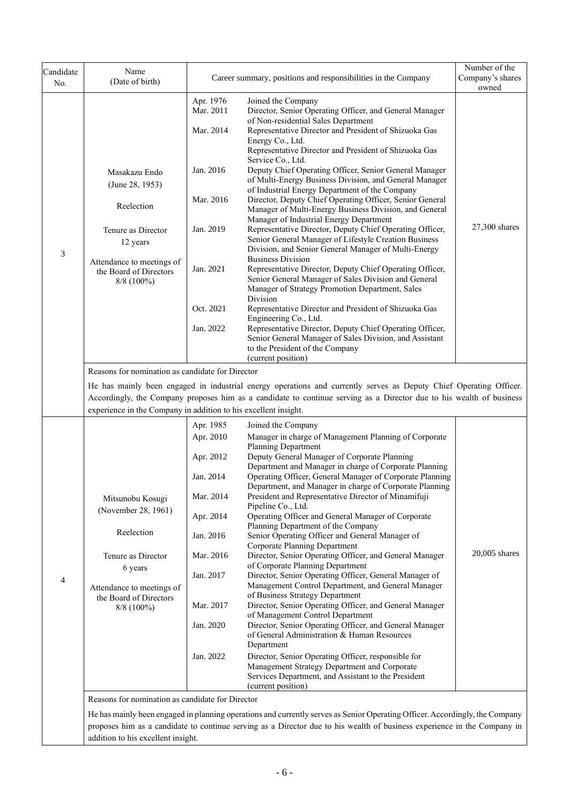| Candidate<br>No. | Name<br>(Date of birth)                                                                                                                                       |                                                                                                                                                          | Career summary, positions and responsibilities in the Company                                                                                                                                                                                                                                                                                                                                                                                                                                                                                                                                                                                                                                                                                                                                                                                                                                                                                                                                                                                                                                                                                                                                                                                                                        | Number of the<br>Company's shares<br>owned |
|------------------|---------------------------------------------------------------------------------------------------------------------------------------------------------------|----------------------------------------------------------------------------------------------------------------------------------------------------------|--------------------------------------------------------------------------------------------------------------------------------------------------------------------------------------------------------------------------------------------------------------------------------------------------------------------------------------------------------------------------------------------------------------------------------------------------------------------------------------------------------------------------------------------------------------------------------------------------------------------------------------------------------------------------------------------------------------------------------------------------------------------------------------------------------------------------------------------------------------------------------------------------------------------------------------------------------------------------------------------------------------------------------------------------------------------------------------------------------------------------------------------------------------------------------------------------------------------------------------------------------------------------------------|--------------------------------------------|
| 3                | Masakazu Endo<br>(June 28, 1953)<br>Reelection<br>Tenure as Director<br>12 years<br>Attendance to meetings of<br>the Board of Directors<br>$8/8$ (100%)       | Apr. 1976<br>Mar. 2011<br>Mar. 2014<br>Jan. 2016<br>Mar. 2016<br>Jan. 2019<br>Jan. 2021<br>Oct. 2021<br>Jan. 2022                                        | Joined the Company<br>Director, Senior Operating Officer, and General Manager<br>of Non-residential Sales Department<br>Representative Director and President of Shizuoka Gas<br>Energy Co., Ltd.<br>Representative Director and President of Shizuoka Gas<br>Service Co., Ltd.<br>Deputy Chief Operating Officer, Senior General Manager<br>of Multi-Energy Business Division, and General Manager<br>of Industrial Energy Department of the Company<br>Director, Deputy Chief Operating Officer, Senior General<br>Manager of Multi-Energy Business Division, and General<br>Manager of Industrial Energy Department<br>Representative Director, Deputy Chief Operating Officer,<br>Senior General Manager of Lifestyle Creation Business<br>Division, and Senior General Manager of Multi-Energy<br><b>Business Division</b><br>Representative Director, Deputy Chief Operating Officer,<br>Senior General Manager of Sales Division and General<br>Manager of Strategy Promotion Department, Sales<br>Division<br>Representative Director and President of Shizuoka Gas<br>Engineering Co., Ltd.<br>Representative Director, Deputy Chief Operating Officer,<br>Senior General Manager of Sales Division, and Assistant<br>to the President of the Company<br>(current position) | 27,300 shares                              |
|                  | Reasons for nomination as candidate for Director<br>experience in the Company in addition to his excellent insight.                                           |                                                                                                                                                          | He has mainly been engaged in industrial energy operations and currently serves as Deputy Chief Operating Officer.<br>Accordingly, the Company proposes him as a candidate to continue serving as a Director due to his wealth of business                                                                                                                                                                                                                                                                                                                                                                                                                                                                                                                                                                                                                                                                                                                                                                                                                                                                                                                                                                                                                                           |                                            |
| $\overline{4}$   | Mitsunobu Kosugi<br>(November 28, 1961)<br>Reelection<br>Tenure as Director<br>6 years<br>Attendance to meetings of<br>the Board of Directors<br>$8/8$ (100%) | Apr. 1985<br>Apr. 2010<br>Apr. 2012<br>Jan. 2014<br>Mar. 2014<br>Apr. 2014<br>Jan. 2016<br>Mar. 2016<br>Jan. 2017<br>Mar. 2017<br>Jan. 2020<br>Jan. 2022 | Joined the Company<br>Manager in charge of Management Planning of Corporate<br>Planning Department<br>Deputy General Manager of Corporate Planning<br>Department and Manager in charge of Corporate Planning<br>Operating Officer, General Manager of Corporate Planning<br>Department, and Manager in charge of Corporate Planning<br>President and Representative Director of Minamifuji<br>Pipeline Co., Ltd.<br>Operating Officer and General Manager of Corporate<br>Planning Department of the Company<br>Senior Operating Officer and General Manager of<br><b>Corporate Planning Department</b><br>Director, Senior Operating Officer, and General Manager<br>of Corporate Planning Department<br>Director, Senior Operating Officer, General Manager of<br>Management Control Department, and General Manager<br>of Business Strategy Department<br>Director, Senior Operating Officer, and General Manager<br>of Management Control Department<br>Director, Senior Operating Officer, and General Manager<br>of General Administration & Human Resources<br>Department<br>Director, Senior Operating Officer, responsible for<br>Management Strategy Department and Corporate<br>Services Department, and Assistant to the President<br>(current position)                 | $20,005$ shares                            |
|                  | Reasons for nomination as candidate for Director<br>addition to his excellent insight.                                                                        |                                                                                                                                                          | He has mainly been engaged in planning operations and currently serves as Senior Operating Officer. Accordingly, the Company<br>proposes him as a candidate to continue serving as a Director due to his wealth of business experience in the Company in                                                                                                                                                                                                                                                                                                                                                                                                                                                                                                                                                                                                                                                                                                                                                                                                                                                                                                                                                                                                                             |                                            |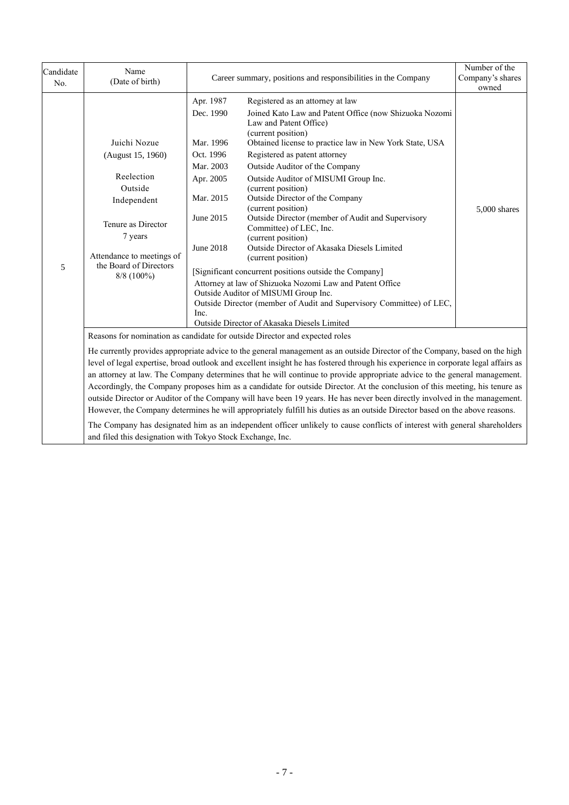| Candidate<br>No. | Name<br>(Date of birth)                                                                                                                                                                                                                                                                                                                                                                                                                                                                                                                                                                                                                                                                                                                                                                                                                                                                                                                                                                                                                                               |                                                                                                                           | Career summary, positions and responsibilities in the Company                                                                                                                                                                                                                                                                                                                                                                                                                                                                                                                                                                                                                                                                                                                                                                                                   |              |  |
|------------------|-----------------------------------------------------------------------------------------------------------------------------------------------------------------------------------------------------------------------------------------------------------------------------------------------------------------------------------------------------------------------------------------------------------------------------------------------------------------------------------------------------------------------------------------------------------------------------------------------------------------------------------------------------------------------------------------------------------------------------------------------------------------------------------------------------------------------------------------------------------------------------------------------------------------------------------------------------------------------------------------------------------------------------------------------------------------------|---------------------------------------------------------------------------------------------------------------------------|-----------------------------------------------------------------------------------------------------------------------------------------------------------------------------------------------------------------------------------------------------------------------------------------------------------------------------------------------------------------------------------------------------------------------------------------------------------------------------------------------------------------------------------------------------------------------------------------------------------------------------------------------------------------------------------------------------------------------------------------------------------------------------------------------------------------------------------------------------------------|--------------|--|
| 5                | Juichi Nozue<br>(August 15, 1960)<br>Reelection<br>Outside<br>Independent<br>Tenure as Director<br>7 years<br>Attendance to meetings of<br>the Board of Directors<br>$8/8$ (100%)                                                                                                                                                                                                                                                                                                                                                                                                                                                                                                                                                                                                                                                                                                                                                                                                                                                                                     | Apr. 1987<br>Dec. 1990<br>Mar. 1996<br>Oct. 1996<br>Mar. 2003<br>Apr. 2005<br>Mar. 2015<br>June 2015<br>June 2018<br>Inc. | Registered as an attorney at law<br>Joined Kato Law and Patent Office (now Shizuoka Nozomi<br>Law and Patent Office)<br>(current position)<br>Obtained license to practice law in New York State, USA<br>Registered as patent attorney<br>Outside Auditor of the Company<br>Outside Auditor of MISUMI Group Inc.<br>(current position)<br>Outside Director of the Company<br>(current position)<br>Outside Director (member of Audit and Supervisory<br>Committee) of LEC, Inc.<br>(current position)<br>Outside Director of Akasaka Diesels Limited<br>(current position)<br>[Significant concurrent positions outside the Company]<br>Attorney at law of Shizuoka Nozomi Law and Patent Office<br>Outside Auditor of MISUMI Group Inc.<br>Outside Director (member of Audit and Supervisory Committee) of LEC,<br>Outside Director of Akasaka Diesels Limited | 5,000 shares |  |
|                  | Reasons for nomination as candidate for outside Director and expected roles<br>He currently provides appropriate advice to the general management as an outside Director of the Company, based on the high<br>level of legal expertise, broad outlook and excellent insight he has fostered through his experience in corporate legal affairs as<br>an attorney at law. The Company determines that he will continue to provide appropriate advice to the general management.<br>Accordingly, the Company proposes him as a candidate for outside Director. At the conclusion of this meeting, his tenure as<br>outside Director or Auditor of the Company will have been 19 years. He has never been directly involved in the management.<br>However, the Company determines he will appropriately fulfill his duties as an outside Director based on the above reasons.<br>The Company has designated him as an independent officer unlikely to cause conflicts of interest with general shareholders<br>and filed this designation with Tokyo Stock Exchange, Inc. |                                                                                                                           |                                                                                                                                                                                                                                                                                                                                                                                                                                                                                                                                                                                                                                                                                                                                                                                                                                                                 |              |  |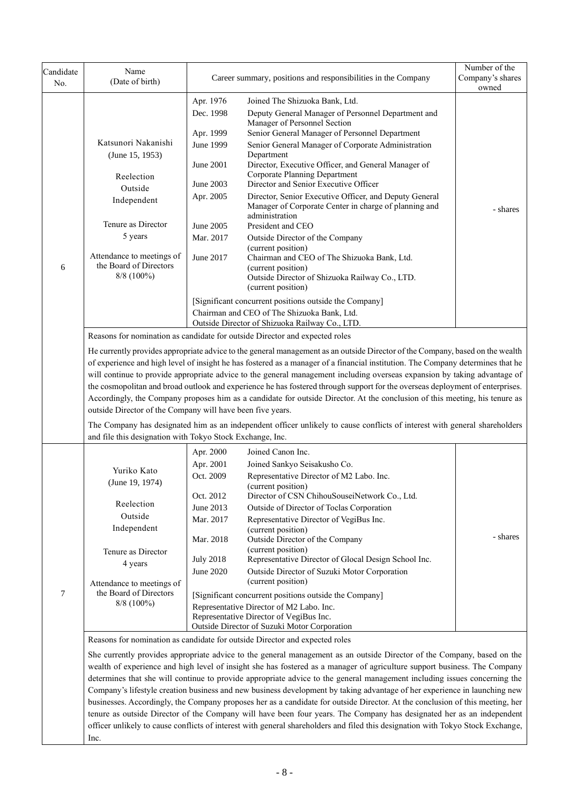| Candidate<br>No. | Name<br>(Date of birth)                                             |                                                                                                                                                                                                                                                                                                                                                                                               | Career summary, positions and responsibilities in the Company                                                                        | Number of the<br>Company's shares<br>owned |  |  |  |  |
|------------------|---------------------------------------------------------------------|-----------------------------------------------------------------------------------------------------------------------------------------------------------------------------------------------------------------------------------------------------------------------------------------------------------------------------------------------------------------------------------------------|--------------------------------------------------------------------------------------------------------------------------------------|--------------------------------------------|--|--|--|--|
|                  |                                                                     | Apr. 1976                                                                                                                                                                                                                                                                                                                                                                                     | Joined The Shizuoka Bank, Ltd.                                                                                                       |                                            |  |  |  |  |
|                  |                                                                     | Dec. 1998<br>Apr. 1999                                                                                                                                                                                                                                                                                                                                                                        | Deputy General Manager of Personnel Department and<br>Manager of Personnel Section<br>Senior General Manager of Personnel Department |                                            |  |  |  |  |
|                  | Katsunori Nakanishi                                                 | June 1999                                                                                                                                                                                                                                                                                                                                                                                     | Senior General Manager of Corporate Administration                                                                                   |                                            |  |  |  |  |
|                  | (June 15, 1953)                                                     |                                                                                                                                                                                                                                                                                                                                                                                               | Department                                                                                                                           |                                            |  |  |  |  |
|                  | Reelection                                                          | June 2001                                                                                                                                                                                                                                                                                                                                                                                     | Director, Executive Officer, and General Manager of<br>Corporate Planning Department                                                 |                                            |  |  |  |  |
|                  | Outside                                                             | June 2003                                                                                                                                                                                                                                                                                                                                                                                     | Director and Senior Executive Officer                                                                                                |                                            |  |  |  |  |
|                  | Independent                                                         | Apr. 2005                                                                                                                                                                                                                                                                                                                                                                                     | Director, Senior Executive Officer, and Deputy General<br>Manager of Corporate Center in charge of planning and<br>administration    | - shares                                   |  |  |  |  |
|                  | Tenure as Director                                                  | June 2005                                                                                                                                                                                                                                                                                                                                                                                     | President and CEO                                                                                                                    |                                            |  |  |  |  |
|                  | 5 years                                                             | Mar. 2017                                                                                                                                                                                                                                                                                                                                                                                     | Outside Director of the Company                                                                                                      |                                            |  |  |  |  |
| 6                | Attendance to meetings of<br>the Board of Directors<br>$8/8$ (100%) | June 2017                                                                                                                                                                                                                                                                                                                                                                                     | (current position)<br>Chairman and CEO of The Shizuoka Bank, Ltd.<br>(current position)                                              |                                            |  |  |  |  |
|                  |                                                                     |                                                                                                                                                                                                                                                                                                                                                                                               | Outside Director of Shizuoka Railway Co., LTD.<br>(current position)                                                                 |                                            |  |  |  |  |
|                  |                                                                     |                                                                                                                                                                                                                                                                                                                                                                                               |                                                                                                                                      |                                            |  |  |  |  |
|                  |                                                                     |                                                                                                                                                                                                                                                                                                                                                                                               | [Significant concurrent positions outside the Company]<br>Chairman and CEO of The Shizuoka Bank, Ltd.                                |                                            |  |  |  |  |
|                  |                                                                     |                                                                                                                                                                                                                                                                                                                                                                                               | Outside Director of Shizuoka Railway Co., LTD.                                                                                       |                                            |  |  |  |  |
|                  |                                                                     |                                                                                                                                                                                                                                                                                                                                                                                               | Reasons for nomination as candidate for outside Director and expected roles                                                          |                                            |  |  |  |  |
|                  |                                                                     |                                                                                                                                                                                                                                                                                                                                                                                               |                                                                                                                                      |                                            |  |  |  |  |
|                  |                                                                     | He currently provides appropriate advice to the general management as an outside Director of the Company, based on the wealth<br>of experience and high level of insight he has fostered as a manager of a financial institution. The Company determines that he<br>will continue to provide appropriate advice to the general management including overseas expansion by taking advantage of |                                                                                                                                      |                                            |  |  |  |  |
|                  |                                                                     |                                                                                                                                                                                                                                                                                                                                                                                               | the cosmopolitan and broad outlook and experience he has fostered through support for the overseas deployment of enterprises.        |                                            |  |  |  |  |
|                  |                                                                     |                                                                                                                                                                                                                                                                                                                                                                                               | Accordingly, the Company proposes him as a candidate for outside Director. At the conclusion of this meeting, his tenure as          |                                            |  |  |  |  |
|                  | outside Director of the Company will have been five years.          |                                                                                                                                                                                                                                                                                                                                                                                               |                                                                                                                                      |                                            |  |  |  |  |
|                  | and file this designation with Tokyo Stock Exchange, Inc.           |                                                                                                                                                                                                                                                                                                                                                                                               | The Company has designated him as an independent officer unlikely to cause conflicts of interest with general shareholders           |                                            |  |  |  |  |
|                  |                                                                     |                                                                                                                                                                                                                                                                                                                                                                                               | Joined Canon Inc.                                                                                                                    |                                            |  |  |  |  |
|                  |                                                                     | Apr. 2000                                                                                                                                                                                                                                                                                                                                                                                     |                                                                                                                                      |                                            |  |  |  |  |
|                  | Yuriko Kato                                                         | Apr. 2001<br>Oct. 2009                                                                                                                                                                                                                                                                                                                                                                        | Joined Sankyo Seisakusho Co.<br>Representative Director of M2 Labo. Inc.                                                             |                                            |  |  |  |  |
|                  | (June 19, 1974)                                                     |                                                                                                                                                                                                                                                                                                                                                                                               | (current position)                                                                                                                   |                                            |  |  |  |  |
|                  |                                                                     | Oct. 2012                                                                                                                                                                                                                                                                                                                                                                                     | Director of CSN ChihouSouseiNetwork Co., Ltd.                                                                                        |                                            |  |  |  |  |
|                  | Reelection                                                          | June 2013                                                                                                                                                                                                                                                                                                                                                                                     | Outside of Director of Toclas Corporation                                                                                            |                                            |  |  |  |  |
|                  | Outside                                                             | Mar. 2017                                                                                                                                                                                                                                                                                                                                                                                     | Representative Director of VegiBus Inc.                                                                                              |                                            |  |  |  |  |
|                  | Independent                                                         | Mar. 2018                                                                                                                                                                                                                                                                                                                                                                                     | (current position)<br>Outside Director of the Company                                                                                | - shares                                   |  |  |  |  |
|                  | Tenure as Director                                                  |                                                                                                                                                                                                                                                                                                                                                                                               | (current position)                                                                                                                   |                                            |  |  |  |  |
|                  | 4 years                                                             | <b>July 2018</b>                                                                                                                                                                                                                                                                                                                                                                              | Representative Director of Glocal Design School Inc.                                                                                 |                                            |  |  |  |  |
|                  |                                                                     | June 2020                                                                                                                                                                                                                                                                                                                                                                                     | Outside Director of Suzuki Motor Corporation                                                                                         |                                            |  |  |  |  |
|                  | Attendance to meetings of                                           |                                                                                                                                                                                                                                                                                                                                                                                               | (current position)                                                                                                                   |                                            |  |  |  |  |
| $\overline{7}$   | the Board of Directors<br>$8/8$ (100%)                              |                                                                                                                                                                                                                                                                                                                                                                                               | [Significant concurrent positions outside the Company]                                                                               |                                            |  |  |  |  |
|                  |                                                                     |                                                                                                                                                                                                                                                                                                                                                                                               | Representative Director of M2 Labo. Inc.<br>Representative Director of VegiBus Inc.                                                  |                                            |  |  |  |  |
|                  |                                                                     |                                                                                                                                                                                                                                                                                                                                                                                               | Outside Director of Suzuki Motor Corporation                                                                                         |                                            |  |  |  |  |
|                  |                                                                     |                                                                                                                                                                                                                                                                                                                                                                                               | Reasons for nomination as candidate for outside Director and expected roles                                                          |                                            |  |  |  |  |
|                  |                                                                     |                                                                                                                                                                                                                                                                                                                                                                                               | She currently provides appropriate advice to the general management as an outside Director of the Company, based on the              |                                            |  |  |  |  |
|                  |                                                                     |                                                                                                                                                                                                                                                                                                                                                                                               | wealth of experience and high level of insight she has fostered as a manager of agriculture support business. The Company            |                                            |  |  |  |  |
|                  |                                                                     |                                                                                                                                                                                                                                                                                                                                                                                               | determines that she will continue to provide appropriate advice to the general management including issues concerning the            |                                            |  |  |  |  |
|                  |                                                                     |                                                                                                                                                                                                                                                                                                                                                                                               | Company's lifestyle creation business and new business development by taking advantage of her experience in launching new            |                                            |  |  |  |  |
|                  |                                                                     |                                                                                                                                                                                                                                                                                                                                                                                               | businesses. Accordingly, the Company proposes her as a candidate for outside Director. At the conclusion of this meeting, her        |                                            |  |  |  |  |
|                  |                                                                     |                                                                                                                                                                                                                                                                                                                                                                                               | tenure as outside Director of the Company will have been four years. The Company has designated her as an independent                |                                            |  |  |  |  |
|                  |                                                                     |                                                                                                                                                                                                                                                                                                                                                                                               | officer unlikely to cause conflicts of interest with general shareholders and filed this designation with Tokyo Stock Exchange,      |                                            |  |  |  |  |
|                  | Inc.                                                                |                                                                                                                                                                                                                                                                                                                                                                                               |                                                                                                                                      |                                            |  |  |  |  |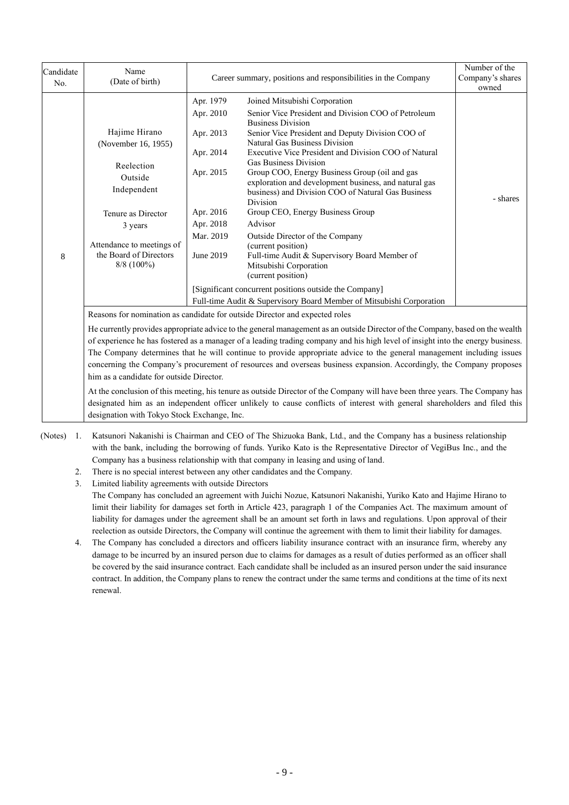| Candidate<br>No. | Name<br>(Date of birth)                                                                                                                                                                                                                                                                                                                                                                                                                                                                                                                                                                                                                      |                                                                                                                   | Career summary, positions and responsibilities in the Company                                                                                                                                                                                                                                                                                                                                                                                                                                                                                                                                                                                                                                                                                                                                                        |          |  |  |
|------------------|----------------------------------------------------------------------------------------------------------------------------------------------------------------------------------------------------------------------------------------------------------------------------------------------------------------------------------------------------------------------------------------------------------------------------------------------------------------------------------------------------------------------------------------------------------------------------------------------------------------------------------------------|-------------------------------------------------------------------------------------------------------------------|----------------------------------------------------------------------------------------------------------------------------------------------------------------------------------------------------------------------------------------------------------------------------------------------------------------------------------------------------------------------------------------------------------------------------------------------------------------------------------------------------------------------------------------------------------------------------------------------------------------------------------------------------------------------------------------------------------------------------------------------------------------------------------------------------------------------|----------|--|--|
| 8                | Hajime Hirano<br>(November 16, 1955)<br>Reelection<br>Outside<br>Independent<br>Tenure as Director<br>3 years<br>Attendance to meetings of<br>the Board of Directors<br>$8/8$ (100%)                                                                                                                                                                                                                                                                                                                                                                                                                                                         | Apr. 1979<br>Apr. 2010<br>Apr. 2013<br>Apr. 2014<br>Apr. 2015<br>Apr. 2016<br>Apr. 2018<br>Mar. 2019<br>June 2019 | Joined Mitsubishi Corporation<br>Senior Vice President and Division COO of Petroleum<br><b>Business Division</b><br>Senior Vice President and Deputy Division COO of<br>Natural Gas Business Division<br>Executive Vice President and Division COO of Natural<br><b>Gas Business Division</b><br>Group COO, Energy Business Group (oil and gas<br>exploration and development business, and natural gas<br>business) and Division COO of Natural Gas Business<br>Division<br>Group CEO, Energy Business Group<br>Advisor<br>Outside Director of the Company<br>(current position)<br>Full-time Audit & Supervisory Board Member of<br>Mitsubishi Corporation<br>(current position)<br>[Significant concurrent positions outside the Company]<br>Full-time Audit & Supervisory Board Member of Mitsubishi Corporation | - shares |  |  |
|                  | Reasons for nomination as candidate for outside Director and expected roles<br>He currently provides appropriate advice to the general management as an outside Director of the Company, based on the wealth<br>of experience he has fostered as a manager of a leading trading company and his high level of insight into the energy business.<br>The Company determines that he will continue to provide appropriate advice to the general management including issues<br>concerning the Company's procurement of resources and overseas business expansion. Accordingly, the Company proposes<br>him as a candidate for outside Director. |                                                                                                                   |                                                                                                                                                                                                                                                                                                                                                                                                                                                                                                                                                                                                                                                                                                                                                                                                                      |          |  |  |
|                  | At the conclusion of this meeting, his tenure as outside Director of the Company will have been three years. The Company has<br>designated him as an independent officer unlikely to cause conflicts of interest with general shareholders and filed this                                                                                                                                                                                                                                                                                                                                                                                    |                                                                                                                   |                                                                                                                                                                                                                                                                                                                                                                                                                                                                                                                                                                                                                                                                                                                                                                                                                      |          |  |  |

designation with Tokyo Stock Exchange, Inc.

- (Notes) 1. Katsunori Nakanishi is Chairman and CEO of The Shizuoka Bank, Ltd., and the Company has a business relationship with the bank, including the borrowing of funds. Yuriko Kato is the Representative Director of VegiBus Inc., and the Company has a business relationship with that company in leasing and using of land.
	- 2. There is no special interest between any other candidates and the Company.
	- 3. Limited liability agreements with outside Directors The Company has concluded an agreement with Juichi Nozue, Katsunori Nakanishi, Yuriko Kato and Hajime Hirano to limit their liability for damages set forth in Article 423, paragraph 1 of the Companies Act. The maximum amount of liability for damages under the agreement shall be an amount set forth in laws and regulations. Upon approval of their reelection as outside Directors, the Company will continue the agreement with them to limit their liability for damages.
	- 4. The Company has concluded a directors and officers liability insurance contract with an insurance firm, whereby any damage to be incurred by an insured person due to claims for damages as a result of duties performed as an officer shall be covered by the said insurance contract. Each candidate shall be included as an insured person under the said insurance contract. In addition, the Company plans to renew the contract under the same terms and conditions at the time of its next renewal.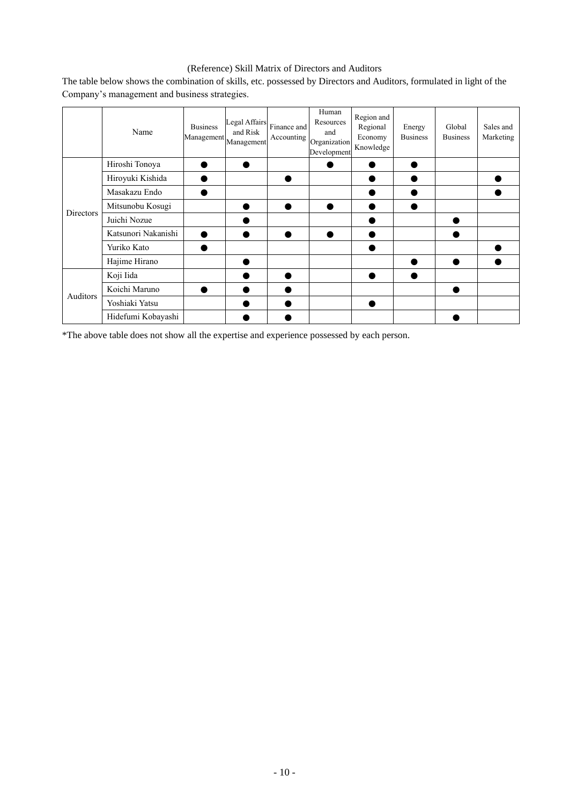# (Reference) Skill Matrix of Directors and Auditors

|                  | Name                | <b>Business</b><br>$[Management] \label{eq:Management} \centering \emph{Management}$ | Legal Affairs<br>and Risk | Finance and<br>Accounting | Human<br>Resources<br>and<br>Organization<br>Development | Region and<br>Regional<br>Economy<br>Knowledge | Energy<br><b>Business</b> | Global<br><b>Business</b> | Sales and<br>Marketing |
|------------------|---------------------|--------------------------------------------------------------------------------------|---------------------------|---------------------------|----------------------------------------------------------|------------------------------------------------|---------------------------|---------------------------|------------------------|
|                  | Hiroshi Tonoya      |                                                                                      |                           |                           |                                                          |                                                |                           |                           |                        |
|                  | Hiroyuki Kishida    |                                                                                      |                           |                           |                                                          |                                                |                           |                           |                        |
|                  | Masakazu Endo       |                                                                                      |                           |                           |                                                          |                                                |                           |                           |                        |
| <b>Directors</b> | Mitsunobu Kosugi    |                                                                                      |                           |                           |                                                          |                                                |                           |                           |                        |
|                  | Juichi Nozue        |                                                                                      |                           |                           |                                                          |                                                |                           |                           |                        |
|                  | Katsunori Nakanishi |                                                                                      |                           |                           |                                                          |                                                |                           |                           |                        |
|                  | Yuriko Kato         |                                                                                      |                           |                           |                                                          |                                                |                           |                           |                        |
|                  | Hajime Hirano       |                                                                                      |                           |                           |                                                          |                                                |                           |                           |                        |
| Auditors         | Koji Iida           |                                                                                      |                           |                           |                                                          |                                                |                           |                           |                        |
|                  | Koichi Maruno       |                                                                                      |                           |                           |                                                          |                                                |                           |                           |                        |
|                  | Yoshiaki Yatsu      |                                                                                      |                           |                           |                                                          |                                                |                           |                           |                        |
|                  | Hidefumi Kobayashi  |                                                                                      |                           |                           |                                                          |                                                |                           |                           |                        |

The table below shows the combination of skills, etc. possessed by Directors and Auditors, formulated in light of the Company's management and business strategies.

\*The above table does not show all the expertise and experience possessed by each person.